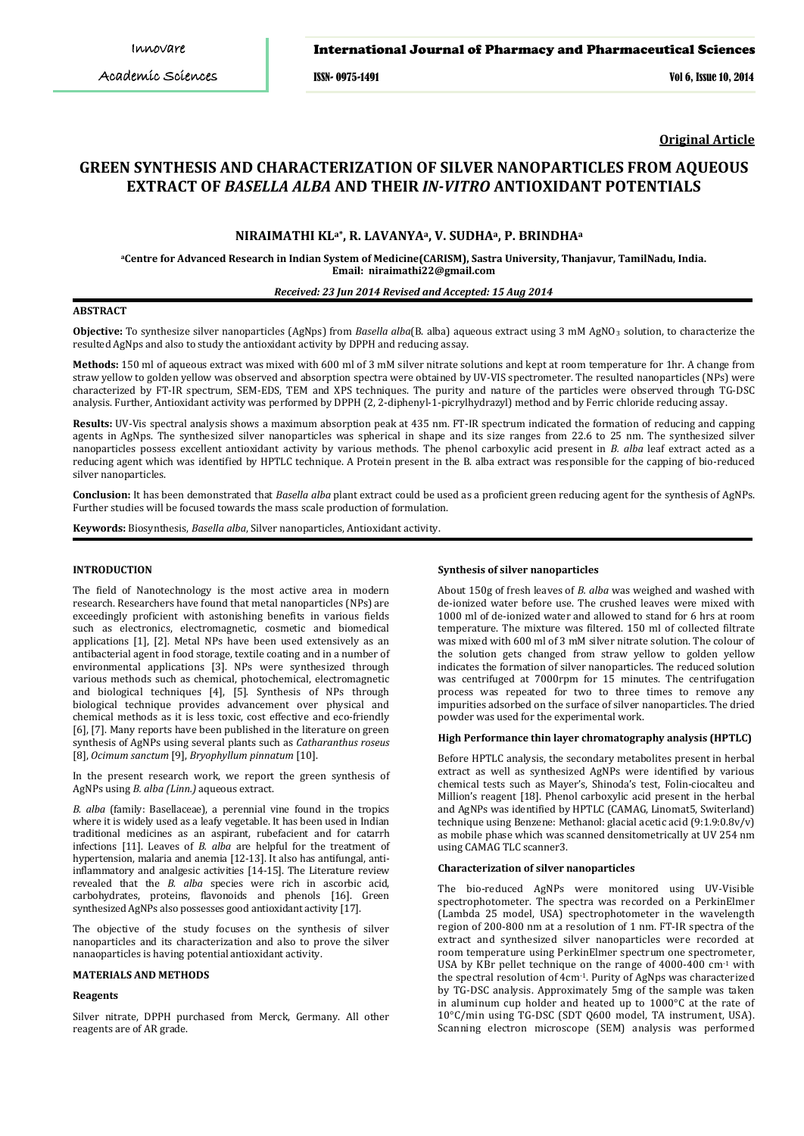# International Journal of Pharmacy and Pharmaceutical Sciences

ISSN- 0975-1491 Vol 6, Issue 10, 2014

**Original Article**

# **GREEN SYNTHESIS AND CHARACTERIZATION OF SILVER NANOPARTICLES FROM AQUEOUS EXTRACT OF** *BASELLA ALBA* **AND THEIR** *IN-VITRO* **ANTIOXIDANT POTENTIALS**

# **NIRAIMATHI KLa\*, R. LAVANYAa, V. SUDHAa, P. BRINDHA<sup>a</sup>**

**a Centre for Advanced Research in Indian System of Medicine(CARISM), Sastra University, Thanjavur, TamilNadu, India. Email: niraimathi22@gmail.com**

# *Received: 23 Jun 2014 Revised and Accepted: 15 Aug 2014*

# **ABSTRACT**

**Objective:** To synthesize silver nanoparticles (AgNps) from *Basella alba*(B. alba) aqueous extract using 3 mM AgNO<sub>3</sub> solution, to characterize the resulted AgNps and also to study the antioxidant activity by DPPH and reducing assay.

**Methods:** 150 ml of aqueous extract was mixed with 600 ml of 3 mM silver nitrate solutions and kept at room temperature for 1hr. A change from straw yellow to golden yellow was observed and absorption spectra were obtained by UV-VIS spectrometer. The resulted nanoparticles (NPs) were characterized by FT-IR spectrum, SEM-EDS, TEM and XPS techniques. The purity and nature of the particles were observed through TG-DSC analysis. Further, Antioxidant activity was performed by DPPH (2, 2-diphenyl-1-picrylhydrazyl) method and by Ferric chloride reducing assay.

**Results:** UV-Vis spectral analysis shows a maximum absorption peak at 435 nm. FT-IR spectrum indicated the formation of reducing and capping agents in AgNps. The synthesized silver nanoparticles was spherical in shape and its size ranges from 22.6 to 25 nm. The synthesized silver nanoparticles possess excellent antioxidant activity by various methods. The phenol carboxylic acid present in *B. alba* leaf extract acted as a reducing agent which was identified by HPTLC technique. A Protein present in the B. alba extract was responsible for the capping of bio-reduced silver nanoparticles.

**Conclusion:** It has been demonstrated that *Basella alba* plant extract could be used as a proficient green reducing agent for the synthesis of AgNPs. Further studies will be focused towards the mass scale production of formulation.

**Keywords:** Biosynthesis, *Basella alba*, Silver nanoparticles, Antioxidant activity.

# **INTRODUCTION**

The field of Nanotechnology is the most active area in modern research. Researchers have found that metal nanoparticles (NPs) are exceedingly proficient with astonishing benefits in various fields such as electronics, electromagnetic, cosmetic and biomedical applications [1], [2]. Metal NPs have been used extensively as an antibacterial agent in food storage, textile coating and in a number of environmental applications [3]. NPs were synthesized through various methods such as chemical, photochemical, electromagnetic and biological techniques [4], [5]. Synthesis of NPs through biological technique provides advancement over physical and chemical methods as it is less toxic, cost effective and eco-friendly [6], [7]. Many reports have been published in the literature on green synthesis of AgNPs using several plants such as *Catharanthus roseus* [8], *Ocimum sanctum* [9], *Bryophyllum pinnatum* [10].

In the present research work, we report the green synthesis of AgNPs using *B. alba (Linn.)* aqueous extract.

*B. alba* (family: Basellaceae), a perennial vine found in the tropics where it is widely used as a leafy vegetable. It has been used in Indian traditional medicines as an aspirant, rubefacient and for catarrh infections [11]. Leaves of *B. alba* are helpful for the treatment of hypertension, malaria and anemia [12-13]. It also has antifungal, antiinflammatory and analgesic activities [14-15]. The Literature review revealed that the *B. alba* species were rich in ascorbic acid, carbohydrates, proteins, flavonoids and phenols [16]. Green synthesized AgNPs also possesses good antioxidant activity [17].

The objective of the study focuses on the synthesis of silver nanoparticles and its characterization and also to prove the silver nanaoparticles is having potential antioxidant activity.

# **MATERIALS AND METHODS**

## **Reagents**

Silver nitrate, DPPH purchased from Merck, Germany. All other reagents are of AR grade.

### **Synthesis of silver nanoparticles**

About 150g of fresh leaves of *B. alba* was weighed and washed with de-ionized water before use. The crushed leaves were mixed with 1000 ml of de-ionized water and allowed to stand for 6 hrs at room temperature. The mixture was filtered. 150 ml of collected filtrate was mixed with 600 ml of 3 mM silver nitrate solution. The colour of the solution gets changed from straw yellow to golden yellow indicates the formation of silver nanoparticles. The reduced solution was centrifuged at 7000rpm for 15 minutes. The centrifugation process was repeated for two to three times to remove any impurities adsorbed on the surface of silver nanoparticles. The dried powder was used for the experimental work.

#### **High Performance thin layer chromatography analysis (HPTLC)**

Before HPTLC analysis, the secondary metabolites present in herbal extract as well as synthesized AgNPs were identified by various chemical tests such as Mayer's, Shinoda's test, Folin-ciocalteu and Million's reagent [18]. Phenol carboxylic acid present in the herbal and AgNPs was identified by HPTLC (CAMAG, Linomat5, Switerland) technique using Benzene: Methanol: glacial acetic acid (9:1.9:0.8v/v) as mobile phase which was scanned densitometrically at UV 254 nm using CAMAG TLC scanner3.

#### **Characterization of silver nanoparticles**

The bio-reduced AgNPs were monitored using UV-Visible spectrophotometer. The spectra was recorded on a PerkinElmer (Lambda 25 model, USA) spectrophotometer in the wavelength region of 200-800 nm at a resolution of 1 nm. FT-IR spectra of the extract and synthesized silver nanoparticles were recorded at room temperature using PerkinElmer spectrum one spectrometer, USA by KBr pellet technique on the range of 4000-400 cm-1 with the spectral resolution of 4cm-1. Purity of AgNps was characterized by TG-DSC analysis. Approximately 5mg of the sample was taken in aluminum cup holder and heated up to 1000°C at the rate of 10°C/min using TG-DSC (SDT Q600 model, TA instrument, USA). Scanning electron microscope (SEM) analysis was performed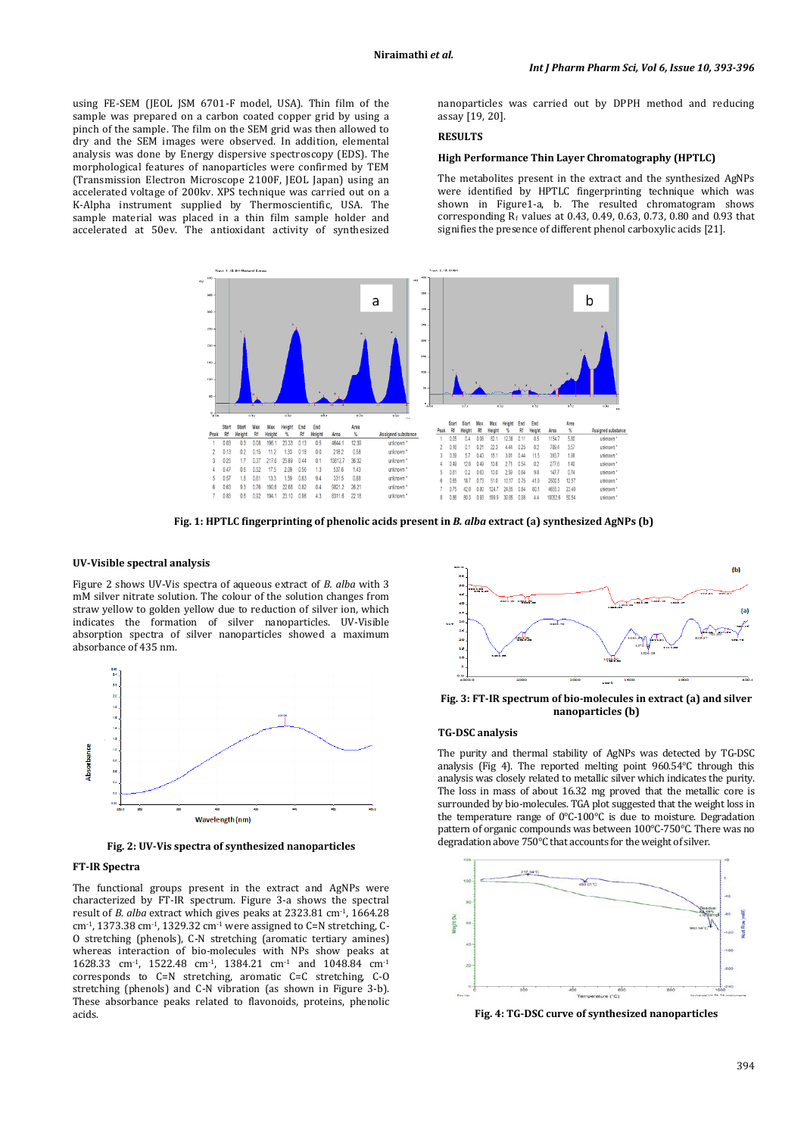using FE-SEM (JEOL JSM 6701-F model, USA). Thin film of the sample was prepared on a carbon coated copper grid by using a pinch of the sample. The film on the SEM grid was then allowed to dry and the SEM images were observed. In addition, elemental analysis was done by Energy dispersive spectroscopy (EDS). The morphological features of nanoparticles were confirmed by TEM (Transmission Electron Microscope 2100F, JEOL Japan) using an accelerated voltage of 200kv. XPS technique was carried out on a K-Alpha instrument supplied by Thermoscientific, USA. The sample material was placed in a thin film sample holder and accelerated at 50ev. The antioxidant activity of synthesized nanoparticles was carried out by DPPH method and reducing assay [19, 20].

# **RESULTS**

### **High Performance Thin Layer Chromatography (HPTLC)**

The metabolites present in the extract and the synthesized AgNPs were identified by HPTLC fingerprinting technique which was shown in Figure1-a, b. The resulted chromatogram shows corresponding  $\overline{R}_f$  values at 0.43, 0.49, 0.63, 0.73, 0.80 and 0.93 that signifies the presence of different phenol carboxylic acids [21].



**Fig. 1: HPTLC fingerprinting of phenolic acids present in** *B. alba* **extract (a) synthesized AgNPs (b)**

#### **UV-Visible spectral analysis**

Figure 2 shows UV-Vis spectra of aqueous extract of *B. alba* with 3 mM silver nitrate solution. The colour of the solution changes from straw yellow to golden yellow due to reduction of silver ion, which indicates the formation of silver nanoparticles. UV-Visible absorption spectra of silver nanoparticles showed a maximum absorbance of 435 nm.



**Fig. 2: UV-Vis spectra of synthesized nanoparticles**

#### **FT-IR Spectra**

The functional groups present in the extract and AgNPs were characterized by FT-IR spectrum. Figure 3-a shows the spectral result of *B. alba* extract which gives peaks at 2323.81 cm-1, 1664.28 cm<sup>-1</sup>, 1373.38 cm<sup>-1</sup>, 1329.32 cm<sup>-1</sup> were assigned to C=N stretching, C-O stretching (phenols), C-N stretching (aromatic tertiary amines) whereas interaction of bio-molecules with NPs show peaks at 1628.33 cm-1, 1522.48 cm-1, 1384.21 cm-1 and 1048.84 cm-1 corresponds to C=N stretching, aromatic C=C stretching, C-O stretching (phenols) and C-N vibration (as shown in Figure 3-b). These absorbance peaks related to flavonoids, proteins, phenolic acids.



**Fig. 3: FT-IR spectrum of bio-molecules in extract (a) and silver nanoparticles (b)**

# **TG-DSC analysis**

The purity and thermal stability of AgNPs was detected by TG-DSC analysis (Fig 4). The reported melting point 960.54°C through this analysis was closely related to metallic silver which indicates the purity. The loss in mass of about 16.32 mg proved that the metallic core is surrounded by bio-molecules. TGA plot suggested that the weight loss in the temperature range of 0°C-100°C is due to moisture. Degradation pattern of organic compounds was between 100°C-750°C. There was no degradation above 750°C that accounts for the weight of silver.



**Fig. 4: TG-DSC curve of synthesized nanoparticles**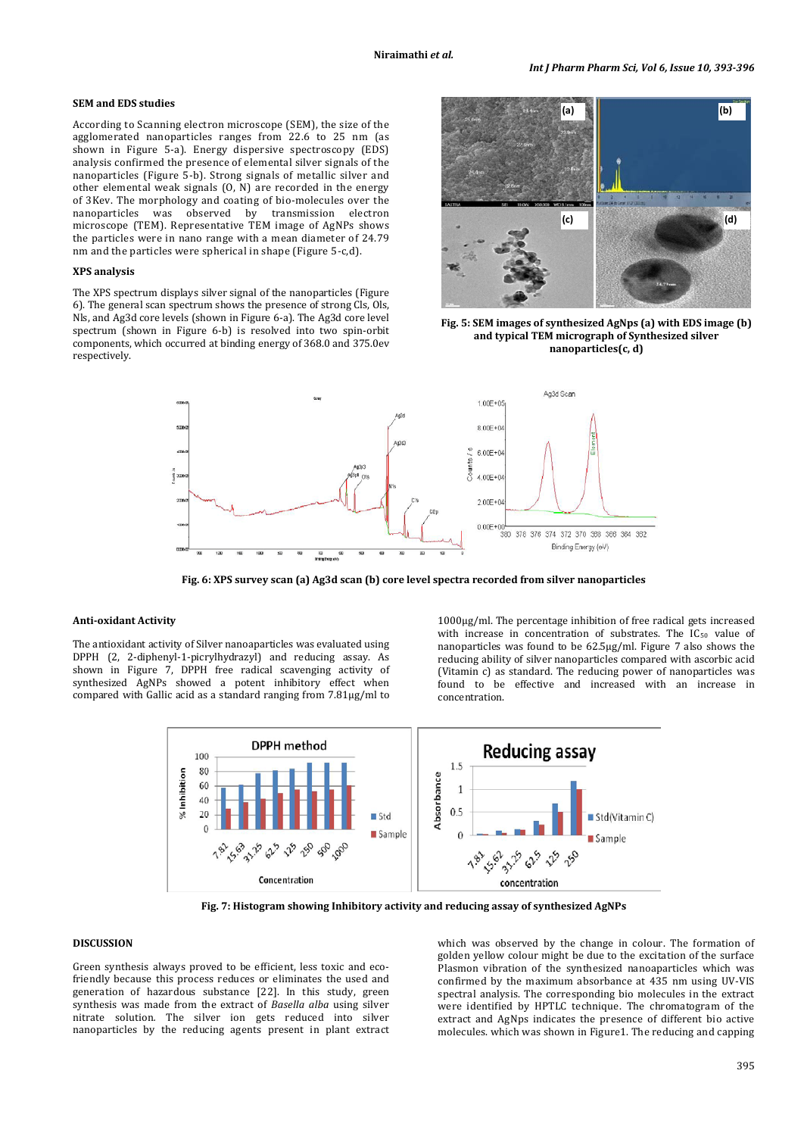# **SEM and EDS studies**

According to Scanning electron microscope (SEM), the size of the agglomerated nanoparticles ranges from 22.6 to 25 nm (as shown in Figure 5-a). Energy dispersive spectroscopy (EDS) analysis confirmed the presence of elemental silver signals of the nanoparticles (Figure 5-b). Strong signals of metallic silver and other elemental weak signals (O, N) are recorded in the energy of 3Kev. The morphology and coating of bio-molecules over the nanoparticles was observed by transmission electron microscope (TEM). Representative TEM image of AgNPs shows the particles were in nano range with a mean diameter of 24.79 nm and the particles were spherical in shape (Figure 5-c,d).

### **XPS analysis**

The XPS spectrum displays silver signal of the nanoparticles (Figure 6). The general scan spectrum shows the presence of strong Cls, Ols, Nls, and Ag3d core levels (shown in Figure 6-a). The Ag3d core level spectrum (shown in Figure 6-b) is resolved into two spin-orbit components, which occurred at binding energy of 368.0 and 375.0ev respectively.



**Fig. 5: SEM images of synthesized AgNps (a) with EDS image (b) and typical TEM micrograph of Synthesized silver nanoparticles(c, d)**



**Fig. 6: XPS survey scan (a) Ag3d scan (b) core level spectra recorded from silver nanoparticles**

### **Anti-oxidant Activity**

The antioxidant activity of Silver nanoaparticles was evaluated using DPPH (2, 2-diphenyl-1-picrylhydrazyl) and reducing assay. As shown in Figure 7, DPPH free radical scavenging activity of synthesized AgNPs showed a potent inhibitory effect when compared with Gallic acid as a standard ranging from 7.81µg/ml to

1000µg/ml. The percentage inhibition of free radical gets increased with increase in concentration of substrates. The  $IC_{50}$  value of nanoparticles was found to be 62.5µg/ml. Figure 7 also shows the reducing ability of silver nanoparticles compared with ascorbic acid (Vitamin c) as standard. The reducing power of nanoparticles was found to be effective and increased with an increase in concentration.



**Fig. 7: Histogram showing Inhibitory activity and reducing assay of synthesized AgNPs**

# **DISCUSSION**

Green synthesis always proved to be efficient, less toxic and ecofriendly because this process reduces or eliminates the used and generation of hazardous substance [22]. In this study, green synthesis was made from the extract of *Basella alba* using silver nitrate solution*.* The silver ion gets reduced into silver nanoparticles by the reducing agents present in plant extract

which was observed by the change in colour. The formation of golden yellow colour might be due to the excitation of the surface Plasmon vibration of the synthesized nanoaparticles which was confirmed by the maximum absorbance at 435 nm using UV-VIS spectral analysis. The corresponding bio molecules in the extract were identified by HPTLC technique. The chromatogram of the extract and AgNps indicates the presence of different bio active molecules. which was shown in Figure1. The reducing and capping